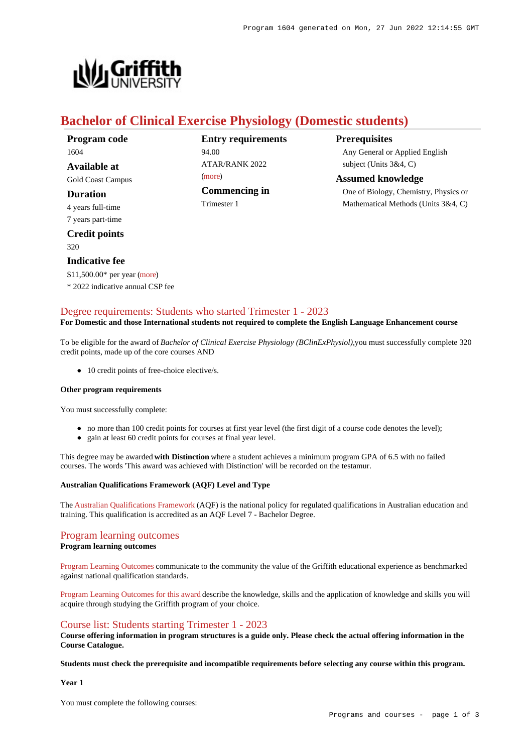

# **Bachelor of Clinical Exercise Physiology (Domestic students)**

**Entry requirements** 94.00  $ATAP/R ANK 2022$ [\(more](https://www148.griffith.edu.au/programs-courses/Program/1604/HowToApply/Domestic#tac-entry-requirements)) **Commencing in** Trimester 1

**Prerequisites** Any General or Applied English subject (Units 3&4, C)

**Assumed knowledge** One of Biology, Chemistry, Physics or Mathematical Methods (Units 3&4, C)

# [Degree requirements: Students who started Trimester 1 - 2023](https://www148.griffith.edu.au/programs-courses/Program/1604/Courses/Domestic#degree-requirements)

#### **For Domestic and those International students not required to complete the English Language Enhancement course**

To be eligible for the award of *Bachelor of Clinical Exercise Physiology (BClinExPhysiol),*you must successfully complete 320 credit points, made up of the core courses AND

• 10 credit points of free-choice elective/s.

#### **Other program requirements**

\$11,500.00\* per year [\(more](https://www148.griffith.edu.au/programs-courses/Program/1604/Overview/Domestic#fees)) \* 2022 indicative annual CSP fee

You must successfully complete:

- no more than 100 credit points for courses at first year level (the first digit of a course code denotes the level);
- gain at least 60 credit points for courses at final year level.

This degree may be awarded **with Distinction** where a student achieves a minimum program GPA of 6.5 with no failed courses. The words 'This award was achieved with Distinction' will be recorded on the testamur.

#### **Australian Qualifications Framework (AQF) Level and Type**

The [Australian Qualifications Framework](http://www.aqf.edu.au/) (AQF) is the national policy for regulated qualifications in Australian education and training. This qualification is accredited as an AQF Level 7 - Bachelor Degree.

#### [Program learning outcomes](https://www148.griffith.edu.au/programs-courses/Program/1604/Courses/Domestic#programLearningOutcomes)

#### **Program learning outcomes**

[Program Learning Outcomes](https://www.griffith.edu.au/__data/assets/pdf_file/0017/134522/PLO-general-advice.pdf) communicate to the community the value of the Griffith educational experience as benchmarked against national qualification standards.

[Program Learning Outcomes for this award](https://www.griffith.edu.au/__data/assets/pdf_file/0033/476781/BClinical-Exercise-Physiology-PLO-L7.pdf) describe the knowledge, skills and the application of knowledge and skills you will acquire through studying the Griffith program of your choice.

### [Course list: Students starting Trimester 1 - 2023](https://www148.griffith.edu.au/programs-courses/Program/1604/Courses/Domestic#course-list-content)

**Course offering information in program structures is a guide only. Please check the actual offering information in the Course Catalogue.**

**Students must check the prerequisite and incompatible requirements before selecting any course within this program.**

**Year 1**

You must complete the following courses: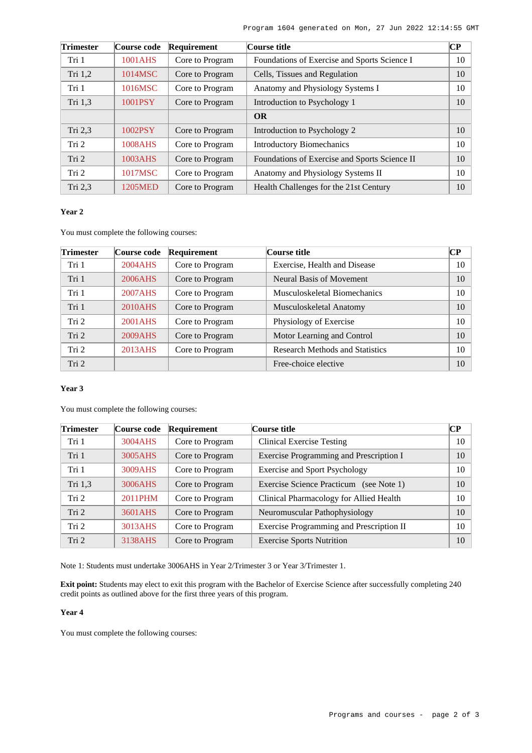| Trimester | Course code | Requirement     | Course title                                  | $\bf CP$ |
|-----------|-------------|-----------------|-----------------------------------------------|----------|
| Tri 1     | 1001AHS     | Core to Program | Foundations of Exercise and Sports Science I  | 10       |
| Tri 1,2   | 1014MSC     | Core to Program | Cells, Tissues and Regulation                 | 10       |
| Tri 1     | 1016MSC     | Core to Program | Anatomy and Physiology Systems I              | 10       |
| Tri 1,3   | 1001PSY     | Core to Program | Introduction to Psychology 1                  | 10       |
|           |             |                 | <b>OR</b>                                     |          |
| Tri 2,3   | 1002PSY     | Core to Program | Introduction to Psychology 2                  | 10       |
| Tri 2     | 1008AHS     | Core to Program | <b>Introductory Biomechanics</b>              | 10       |
| Tri 2     | 1003AHS     | Core to Program | Foundations of Exercise and Sports Science II | 10       |
| Tri 2     | 1017MSC     | Core to Program | Anatomy and Physiology Systems II             | 10       |
| Tri 2,3   | 1205MED     | Core to Program | Health Challenges for the 21st Century        | 10       |

# **Year 2**

You must complete the following courses:

| <b>Trimester</b> | Course code | Requirement     | Course title                           | $\bf CP$ |
|------------------|-------------|-----------------|----------------------------------------|----------|
| Tri 1            | 2004AHS     | Core to Program | Exercise, Health and Disease           | 10       |
| Tri 1            | 2006AHS     | Core to Program | Neural Basis of Movement               | 10       |
| Tri 1            | 2007AHS     | Core to Program | Musculoskeletal Biomechanics           | 10       |
| Tri 1            | 2010AHS     | Core to Program | Musculoskeletal Anatomy                | 10       |
| Tri 2            | 2001AHS     | Core to Program | Physiology of Exercise                 | 10       |
| Tri 2            | 2009AHS     | Core to Program | Motor Learning and Control             | 10       |
| Tri 2            | 2013AHS     | Core to Program | <b>Research Methods and Statistics</b> | 10       |
| Tri 2            |             |                 | Free-choice elective                   | 10       |

## **Year 3**

You must complete the following courses:

| <b>Trimester</b> | Course code | Requirement     | Course title                                      | <b>CP</b> |
|------------------|-------------|-----------------|---------------------------------------------------|-----------|
| Tri 1            | 3004AHS     | Core to Program | <b>Clinical Exercise Testing</b>                  | 10        |
| Tri 1            | 3005AHS     | Core to Program | Exercise Programming and Prescription I           | 10        |
| Tri 1            | 3009AHS     | Core to Program | <b>Exercise and Sport Psychology</b>              | 10        |
| Tri 1,3          | 3006AHS     | Core to Program | <b>Exercise Science Practicum</b><br>(see Note 1) | 10        |
| Tri <sub>2</sub> | 2011PHM     | Core to Program | Clinical Pharmacology for Allied Health           | 10        |
| Tri 2            | 3601AHS     | Core to Program | Neuromuscular Pathophysiology                     | 10        |
| Tri <sub>2</sub> | 3013AHS     | Core to Program | Exercise Programming and Prescription II          | 10        |
| Tri 2            | 3138AHS     | Core to Program | <b>Exercise Sports Nutrition</b>                  | 10        |

Note 1: Students must undertake 3006AHS in Year 2/Trimester 3 or Year 3/Trimester 1.

**Exit point:** Students may elect to exit this program with the Bachelor of Exercise Science after successfully completing 240 credit points as outlined above for the first three years of this program.

## **Year 4**

You must complete the following courses: